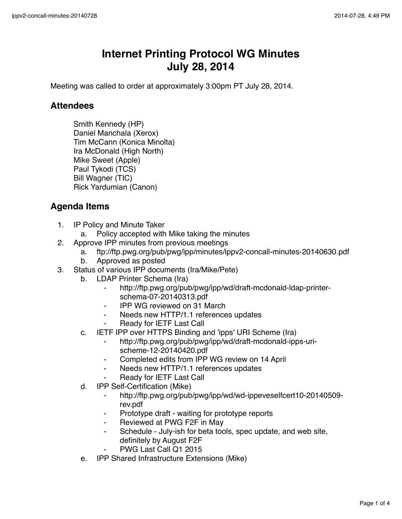## **Internet Printing Protocol WG Minutes July 28, 2014**

Meeting was called to order at approximately 3:00pm PT July 28, 2014.

## **Attendees**

Smith Kennedy (HP) Daniel Manchala (Xerox) Tim McCann (Konica Minolta) Ira McDonald (High North) Mike Sweet (Apple) Paul Tykodi (TCS) Bill Wagner (TIC) Rick Yardumian (Canon)

## **Agenda Items**

- 1. IP Policy and Minute Taker
	- a. Policy accepted with Mike taking the minutes
- 2. Approve IPP minutes from previous meetings
	- a. ftp://ftp.pwg.org/pub/pwg/ipp/minutes/ippv2-concall-minutes-20140630.pdf
	- b. Approved as posted
- 3. Status of various IPP documents (Ira/Mike/Pete)
	- b. LDAP Printer Schema (Ira)
		- http://ftp.pwg.org/pub/pwg/ipp/wd/draft-mcdonald-ldap-printerschema-07-20140313.pdf
		- ⁃ IPP WG reviewed on 31 March
		- Needs new HTTP/1.1 references updates
		- Ready for IETF Last Call
	- c. IETF IPP over HTTPS Binding and 'ipps' URI Scheme (Ira)
		- ⁃ http://ftp.pwg.org/pub/pwg/ipp/wd/draft-mcdonald-ipps-urischeme-12-20140420.pdf
		- Completed edits from IPP WG review on 14 April
		- ⁃ Needs new HTTP/1.1 references updates
		- Ready for IETF Last Call
	- d. IPP Self-Certification (Mike)
		- ⁃ http://ftp.pwg.org/pub/pwg/ipp/wd/wd-ippeveselfcert10-20140509 rev.pdf
		- Prototype draft waiting for prototype reports
		- Reviewed at PWG F2F in May
		- Schedule July-ish for beta tools, spec update, and web site, definitely by August F2F
		- PWG Last Call Q1 2015
	- e. IPP Shared Infrastructure Extensions (Mike)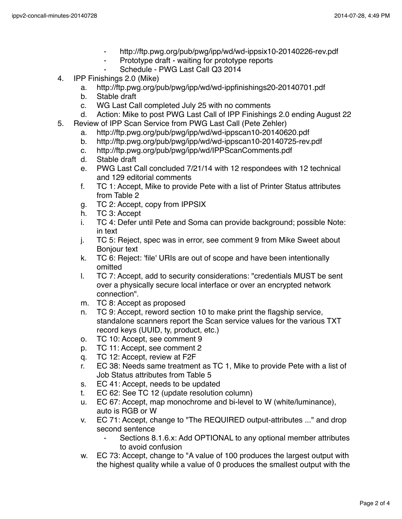- http://ftp.pwg.org/pub/pwg/ipp/wd/wd-ippsix10-20140226-rev.pdf
- Prototype draft waiting for prototype reports
	- Schedule PWG Last Call Q3 2014
- 4. IPP Finishings 2.0 (Mike)
	- a. http://ftp.pwg.org/pub/pwg/ipp/wd/wd-ippfinishings20-20140701.pdf
	- b. Stable draft
	- c. WG Last Call completed July 25 with no comments
	- d. Action: Mike to post PWG Last Call of IPP Finishings 2.0 ending August 22
- 5. Review of IPP Scan Service from PWG Last Call (Pete Zehler)
	- a. http://ftp.pwg.org/pub/pwg/ipp/wd/wd-ippscan10-20140620.pdf
	- b. http://ftp.pwg.org/pub/pwg/ipp/wd/wd-ippscan10-20140725-rev.pdf
	- c. http://ftp.pwg.org/pub/pwg/ipp/wd/IPPScanComments.pdf
	- d. Stable draft
	- e. PWG Last Call concluded 7/21/14 with 12 respondees with 12 technical and 129 editorial comments
	- f. TC 1: Accept, Mike to provide Pete with a list of Printer Status attributes from Table 2
	- g. TC 2: Accept, copy from IPPSIX
	- h. TC 3: Accept
	- i. TC 4: Defer until Pete and Soma can provide background; possible Note: in text
	- j. TC 5: Reject, spec was in error, see comment 9 from Mike Sweet about Bonjour text
	- k. TC 6: Reject: 'file' URIs are out of scope and have been intentionally omitted
	- l. TC 7: Accept, add to security considerations: "credentials MUST be sent over a physically secure local interface or over an encrypted network connection".
	- m. TC 8: Accept as proposed
	- n. TC 9: Accept, reword section 10 to make print the flagship service, standalone scanners report the Scan service values for the various TXT record keys (UUID, ty, product, etc.)
	- o. TC 10: Accept, see comment 9
	- p. TC 11: Accept, see comment 2
	- q. TC 12: Accept, review at F2F
	- r. EC 38: Needs same treatment as TC 1, Mike to provide Pete with a list of Job Status attributes from Table 5
	- s. EC 41: Accept, needs to be updated
	- t. EC 62: See TC 12 (update resolution column)
	- u. EC 67: Accept, map monochrome and bi-level to W (white/luminance), auto is RGB or W
	- v. EC 71: Accept, change to "The REQUIRED output-attributes ..." and drop second sentence
		- ⁃ Sections 8.1.6.x: Add OPTIONAL to any optional member attributes to avoid confusion
	- w. EC 73: Accept, change to "A value of 100 produces the largest output with the highest quality while a value of 0 produces the smallest output with the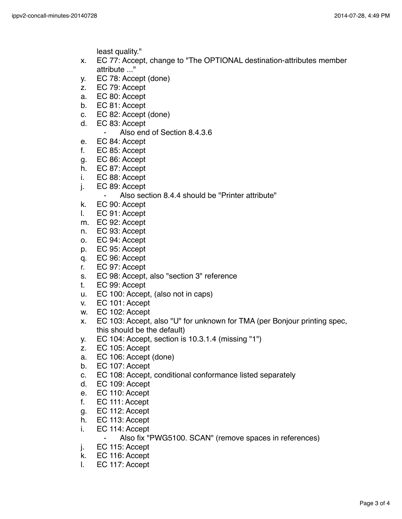least quality."

- x. EC 77: Accept, change to "The OPTIONAL destination-attributes member attribute ..."
- y. EC 78: Accept (done)
- z. EC 79: Accept
- a. EC 80: Accept
- b. EC 81: Accept
- c. EC 82: Accept (done)
- d. EC 83: Accept
	- ⁃ Also end of Section 8.4.3.6
- e. EC 84: Accept
- f. EC 85: Accept
- g. EC 86: Accept
- h. EC 87: Accept
- i. EC 88: Accept
- j. EC 89: Accept
	- ⁃ Also section 8.4.4 should be "Printer attribute"
- k. EC 90: Accept
- l. EC 91: Accept
- m. EC 92: Accept
- n. EC 93: Accept
- o. EC 94: Accept
- p. EC 95: Accept
- q. EC 96: Accept
- r. EC 97: Accept
- s. EC 98: Accept, also "section 3" reference
- t. EC 99: Accept
- u. EC 100: Accept, (also not in caps)
- v. EC 101: Accept
- w. EC 102: Accept
- x. EC 103: Accept, also "U" for unknown for TMA (per Bonjour printing spec, this should be the default)
- y. EC 104: Accept, section is 10.3.1.4 (missing "1")
- z. EC 105: Accept
- a. EC 106: Accept (done)
- b. EC 107: Accept
- c. EC 108: Accept, conditional conformance listed separately
- d. EC 109: Accept
- e. EC 110: Accept
- f. EC 111: Accept
- g. EC 112: Accept
- h. EC 113: Accept
- i. EC 114: Accept
	- ⁃ Also fix "PWG5100. SCAN" (remove spaces in references)
- j. EC 115: Accept
- k. EC 116: Accept
- l. EC 117: Accept